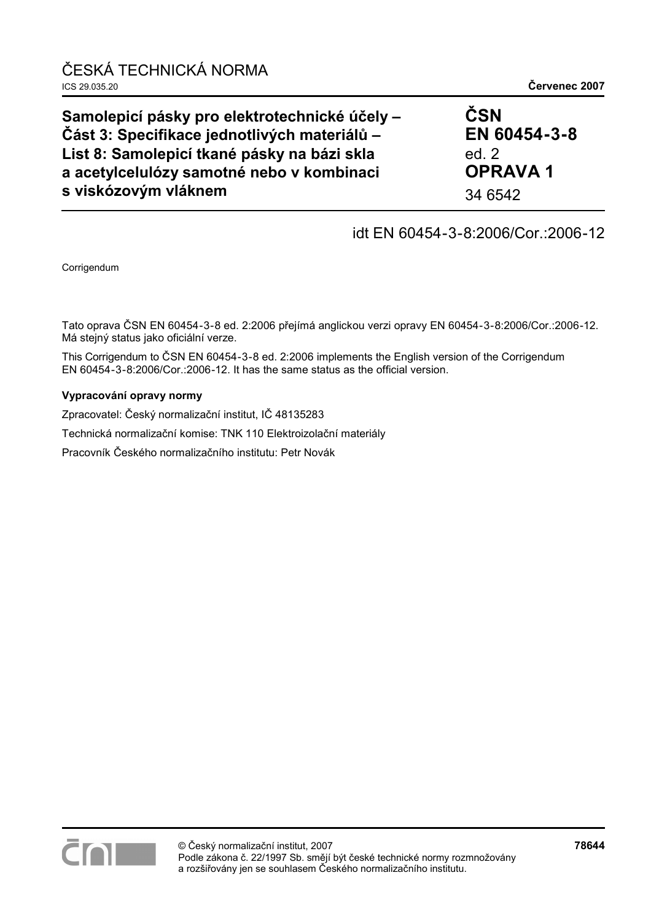| Samolepicí pásky pro elektrotechnické účely -                                            | ČSN                       |
|------------------------------------------------------------------------------------------|---------------------------|
| Část 3: Specifikace jednotlivých materiálů -                                             | EN 60454-3-8              |
| List 8: Samolepicí tkané pásky na bázi skla<br>a acetylcelulózy samotné nebo v kombinaci | ed. $2$<br><b>OPRAVA1</b> |
| s viskózovým vláknem                                                                     | 34 6542                   |

## idt EN 60454-3-8:2006/Cor.:2006-12

Corrigendum

Tato oprava ČSN EN 60454-3-8 ed. 2:2006 přejímá anglickou verzi opravy EN 60454-3-8:2006/Cor.:2006-12. Má stejný status jako oficiální verze.

This Corrigendum to ČSN EN 60454-3-8 ed. 2:2006 implements the English version of the Corrigendum EN 60454-3-8:2006/Cor.:2006-12. It has the same status as the official version.

#### **Vypracování opravy normy**

Zpracovatel: Český normalizační institut, IČ 48135283 Technická normalizační komise: TNK 110 Elektroizolační materiály

Pracovník Českého normalizačního institutu: Petr Novák

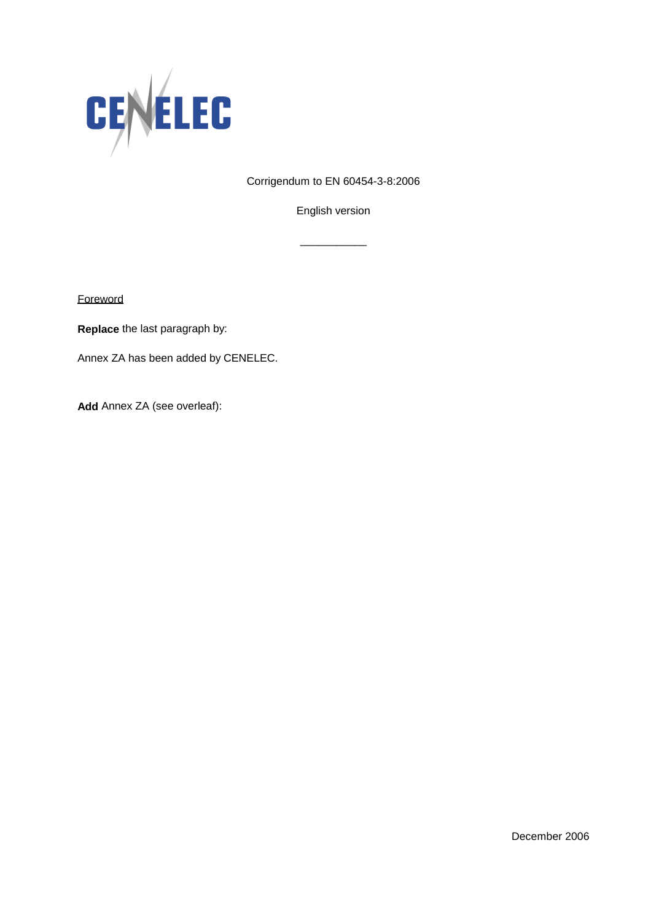

Corrigendum to EN 60454-3-8:2006

English version

\_\_\_\_\_\_\_\_\_\_\_

**Foreword** 

**Replace** the last paragraph by:

Annex ZA has been added by CENELEC.

**Add** Annex ZA (see overleaf):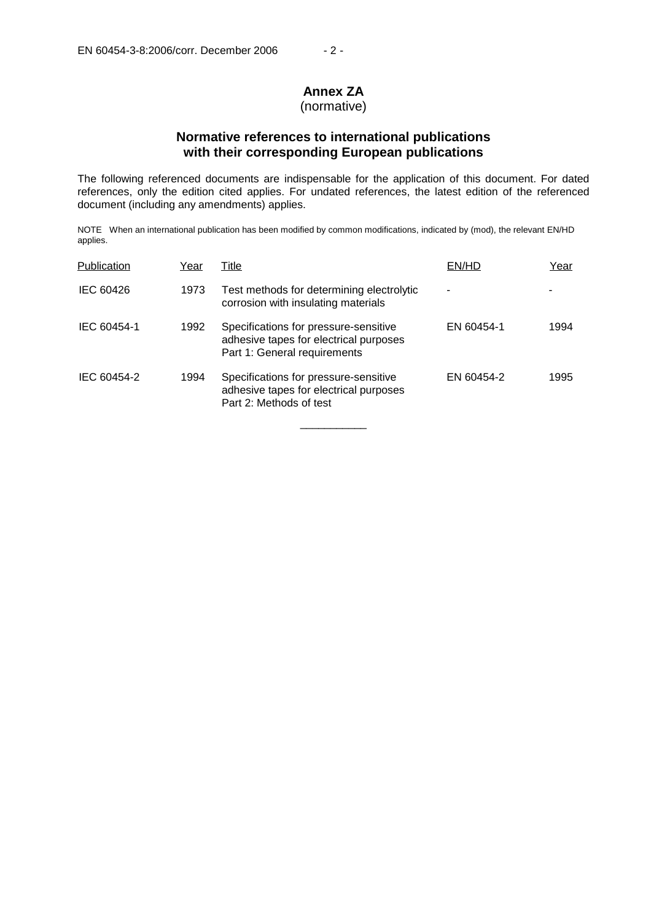# **Annex ZA**

## (normative)

## **Normative references to international publications with their corresponding European publications**

The following referenced documents are indispensable for the application of this document. For dated references, only the edition cited applies. For undated references, the latest edition of the referenced document (including any amendments) applies.

NOTE When an international publication has been modified by common modifications, indicated by (mod), the relevant EN/HD applies.

| Publication | Year | Title                                                                                                           | EN/HD      | Year |
|-------------|------|-----------------------------------------------------------------------------------------------------------------|------------|------|
| IEC 60426   | 1973 | Test methods for determining electrolytic<br>corrosion with insulating materials                                |            |      |
| IEC 60454-1 | 1992 | Specifications for pressure-sensitive<br>adhesive tapes for electrical purposes<br>Part 1: General requirements | EN 60454-1 | 1994 |
| IEC 60454-2 | 1994 | Specifications for pressure-sensitive<br>adhesive tapes for electrical purposes<br>Part 2: Methods of test      | EN 60454-2 | 1995 |

\_\_\_\_\_\_\_\_\_\_\_